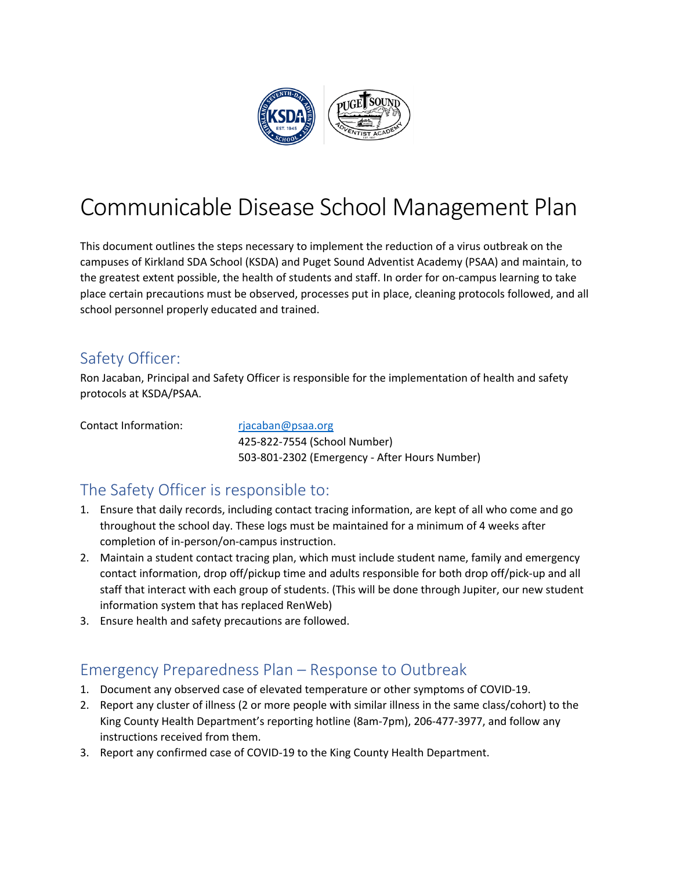

## Communicable Disease School Management Plan

This document outlines the steps necessary to implement the reduction of a virus outbreak on the campuses of Kirkland SDA School (KSDA) and Puget Sound Adventist Academy (PSAA) and maintain, to the greatest extent possible, the health of students and staff. In order for on-campus learning to take place certain precautions must be observed, processes put in place, cleaning protocols followed, and all school personnel properly educated and trained.

### Safety Officer:

Ron Jacaban, Principal and Safety Officer is responsible for the implementation of health and safety protocols at KSDA/PSAA.

Contact Information: rjacaban@psaa.org

425-822-7554 (School Number) 503-801-2302 (Emergency - After Hours Number)

### The Safety Officer is responsible to:

- 1. Ensure that daily records, including contact tracing information, are kept of all who come and go throughout the school day. These logs must be maintained for a minimum of 4 weeks after completion of in-person/on-campus instruction.
- 2. Maintain a student contact tracing plan, which must include student name, family and emergency contact information, drop off/pickup time and adults responsible for both drop off/pick-up and all staff that interact with each group of students. (This will be done through Jupiter, our new student information system that has replaced RenWeb)
- 3. Ensure health and safety precautions are followed.

### Emergency Preparedness Plan – Response to Outbreak

- 1. Document any observed case of elevated temperature or other symptoms of COVID-19.
- 2. Report any cluster of illness (2 or more people with similar illness in the same class/cohort) to the King County Health Department's reporting hotline (8am-7pm), 206-477-3977, and follow any instructions received from them.
- 3. Report any confirmed case of COVID-19 to the King County Health Department.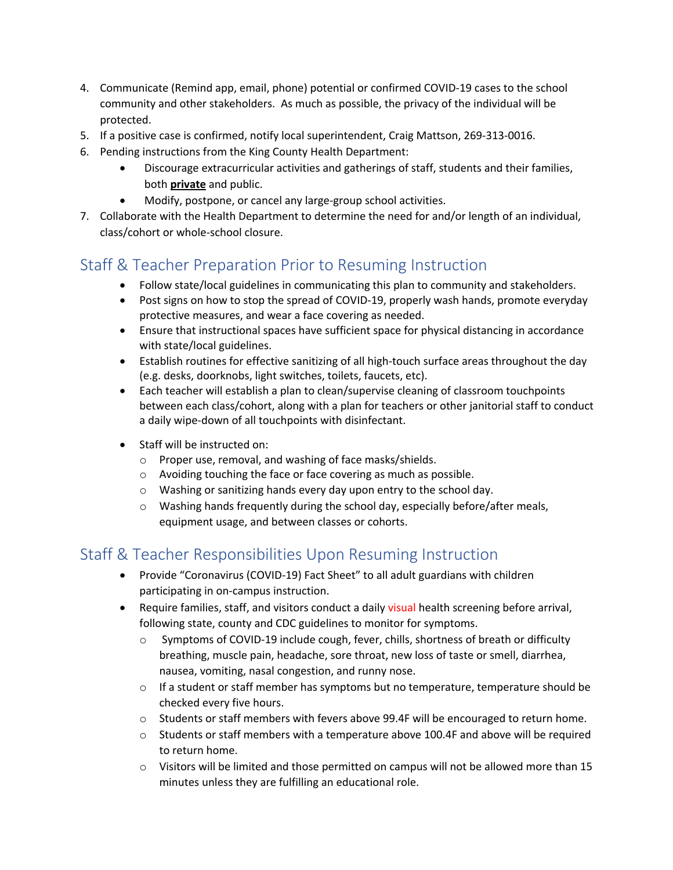- 4. Communicate (Remind app, email, phone) potential or confirmed COVID-19 cases to the school community and other stakeholders. As much as possible, the privacy of the individual will be protected.
- 5. If a positive case is confirmed, notify local superintendent, Craig Mattson, 269-313-0016.
- 6. Pending instructions from the King County Health Department:
	- Discourage extracurricular activities and gatherings of staff, students and their families, both **private** and public.
	- Modify, postpone, or cancel any large-group school activities.
- 7. Collaborate with the Health Department to determine the need for and/or length of an individual, class/cohort or whole-school closure.

### Staff & Teacher Preparation Prior to Resuming Instruction

- Follow state/local guidelines in communicating this plan to community and stakeholders.
- Post signs on how to stop the spread of COVID-19, properly wash hands, promote everyday protective measures, and wear a face covering as needed.
- Ensure that instructional spaces have sufficient space for physical distancing in accordance with state/local guidelines.
- Establish routines for effective sanitizing of all high-touch surface areas throughout the day (e.g. desks, doorknobs, light switches, toilets, faucets, etc).
- Each teacher will establish a plan to clean/supervise cleaning of classroom touchpoints between each class/cohort, along with a plan for teachers or other janitorial staff to conduct a daily wipe-down of all touchpoints with disinfectant.
- Staff will be instructed on:
	- o Proper use, removal, and washing of face masks/shields.
	- o Avoiding touching the face or face covering as much as possible.
	- o Washing or sanitizing hands every day upon entry to the school day.
	- o Washing hands frequently during the school day, especially before/after meals, equipment usage, and between classes or cohorts.

### Staff & Teacher Responsibilities Upon Resuming Instruction

- Provide "Coronavirus (COVID-19) Fact Sheet" to all adult guardians with children participating in on-campus instruction.
- Require families, staff, and visitors conduct a daily visual health screening before arrival, following state, county and CDC guidelines to monitor for symptoms.
	- o Symptoms of COVID-19 include cough, fever, chills, shortness of breath or difficulty breathing, muscle pain, headache, sore throat, new loss of taste or smell, diarrhea, nausea, vomiting, nasal congestion, and runny nose.
	- $\circ$  If a student or staff member has symptoms but no temperature, temperature should be checked every five hours.
	- o Students or staff members with fevers above 99.4F will be encouraged to return home.
	- o Students or staff members with a temperature above 100.4F and above will be required to return home.
	- o Visitors will be limited and those permitted on campus will not be allowed more than 15 minutes unless they are fulfilling an educational role.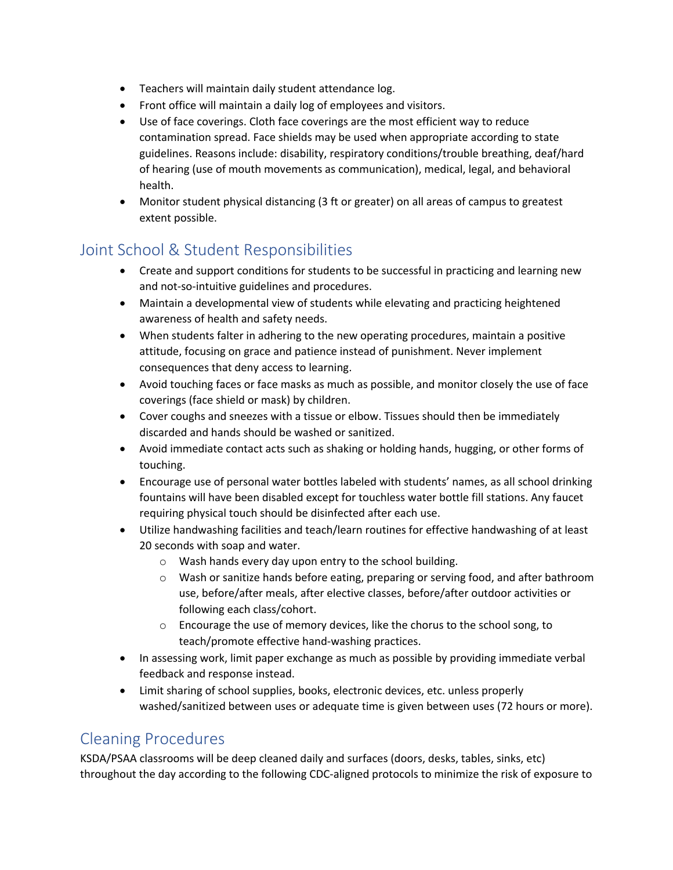- Teachers will maintain daily student attendance log.
- Front office will maintain a daily log of employees and visitors.
- Use of face coverings. Cloth face coverings are the most efficient way to reduce contamination spread. Face shields may be used when appropriate according to state guidelines. Reasons include: disability, respiratory conditions/trouble breathing, deaf/hard of hearing (use of mouth movements as communication), medical, legal, and behavioral health.
- Monitor student physical distancing (3 ft or greater) on all areas of campus to greatest extent possible.

### Joint School & Student Responsibilities

- Create and support conditions for students to be successful in practicing and learning new and not-so-intuitive guidelines and procedures.
- Maintain a developmental view of students while elevating and practicing heightened awareness of health and safety needs.
- When students falter in adhering to the new operating procedures, maintain a positive attitude, focusing on grace and patience instead of punishment. Never implement consequences that deny access to learning.
- Avoid touching faces or face masks as much as possible, and monitor closely the use of face coverings (face shield or mask) by children.
- Cover coughs and sneezes with a tissue or elbow. Tissues should then be immediately discarded and hands should be washed or sanitized.
- Avoid immediate contact acts such as shaking or holding hands, hugging, or other forms of touching.
- Encourage use of personal water bottles labeled with students' names, as all school drinking fountains will have been disabled except for touchless water bottle fill stations. Any faucet requiring physical touch should be disinfected after each use.
- Utilize handwashing facilities and teach/learn routines for effective handwashing of at least 20 seconds with soap and water.
	- o Wash hands every day upon entry to the school building.
	- o Wash or sanitize hands before eating, preparing or serving food, and after bathroom use, before/after meals, after elective classes, before/after outdoor activities or following each class/cohort.
	- o Encourage the use of memory devices, like the chorus to the school song, to teach/promote effective hand-washing practices.
- In assessing work, limit paper exchange as much as possible by providing immediate verbal feedback and response instead.
- Limit sharing of school supplies, books, electronic devices, etc. unless properly washed/sanitized between uses or adequate time is given between uses (72 hours or more).

### Cleaning Procedures

KSDA/PSAA classrooms will be deep cleaned daily and surfaces (doors, desks, tables, sinks, etc) throughout the day according to the following CDC-aligned protocols to minimize the risk of exposure to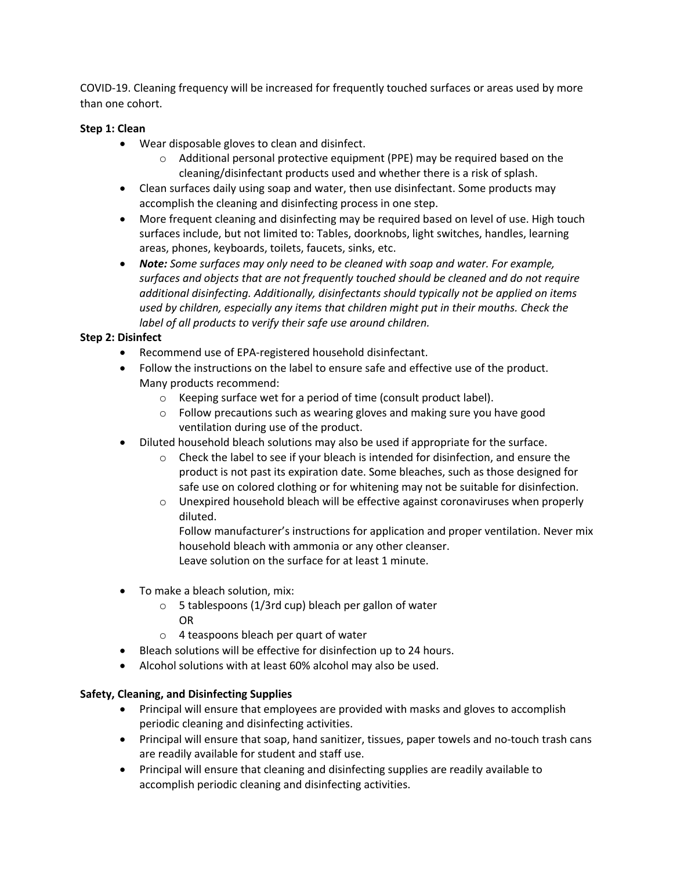COVID-19. Cleaning frequency will be increased for frequently touched surfaces or areas used by more than one cohort.

#### **Step 1: Clean**

- Wear disposable gloves to clean and disinfect.
	- $\circ$  Additional personal protective equipment (PPE) may be required based on the cleaning/disinfectant products used and whether there is a risk of splash.
- Clean surfaces daily using soap and water, then use disinfectant. Some products may accomplish the cleaning and disinfecting process in one step.
- More frequent cleaning and disinfecting may be required based on level of use. High touch surfaces include, but not limited to: Tables, doorknobs, light switches, handles, learning areas, phones, keyboards, toilets, faucets, sinks, etc.
- *Note: Some surfaces may only need to be cleaned with soap and water. For example, surfaces and objects that are not frequently touched should be cleaned and do not require additional disinfecting. Additionally, disinfectants should typically not be applied on items used by children, especially any items that children might put in their mouths. Check the label of all products to verify their safe use around children.*

#### **Step 2: Disinfect**

- Recommend use of EPA-registered household disinfectant.
- Follow the instructions on the label to ensure safe and effective use of the product. Many products recommend:
	- o Keeping surface wet for a period of time (consult product label).
	- o Follow precautions such as wearing gloves and making sure you have good ventilation during use of the product.
- Diluted household bleach solutions may also be used if appropriate for the surface.
	- $\circ$  Check the label to see if your bleach is intended for disinfection, and ensure the product is not past its expiration date. Some bleaches, such as those designed for safe use on colored clothing or for whitening may not be suitable for disinfection.
	- o Unexpired household bleach will be effective against coronaviruses when properly diluted.

Follow manufacturer's instructions for application and proper ventilation. Never mix household bleach with ammonia or any other cleanser. Leave solution on the surface for at least 1 minute.

- To make a bleach solution, mix:
	- o 5 tablespoons (1/3rd cup) bleach per gallon of water OR
	- o 4 teaspoons bleach per quart of water
- Bleach solutions will be effective for disinfection up to 24 hours.
- Alcohol solutions with at least 60% alcohol may also be used.

#### **Safety, Cleaning, and Disinfecting Supplies**

- Principal will ensure that employees are provided with masks and gloves to accomplish periodic cleaning and disinfecting activities.
- Principal will ensure that soap, hand sanitizer, tissues, paper towels and no-touch trash cans are readily available for student and staff use.
- Principal will ensure that cleaning and disinfecting supplies are readily available to accomplish periodic cleaning and disinfecting activities.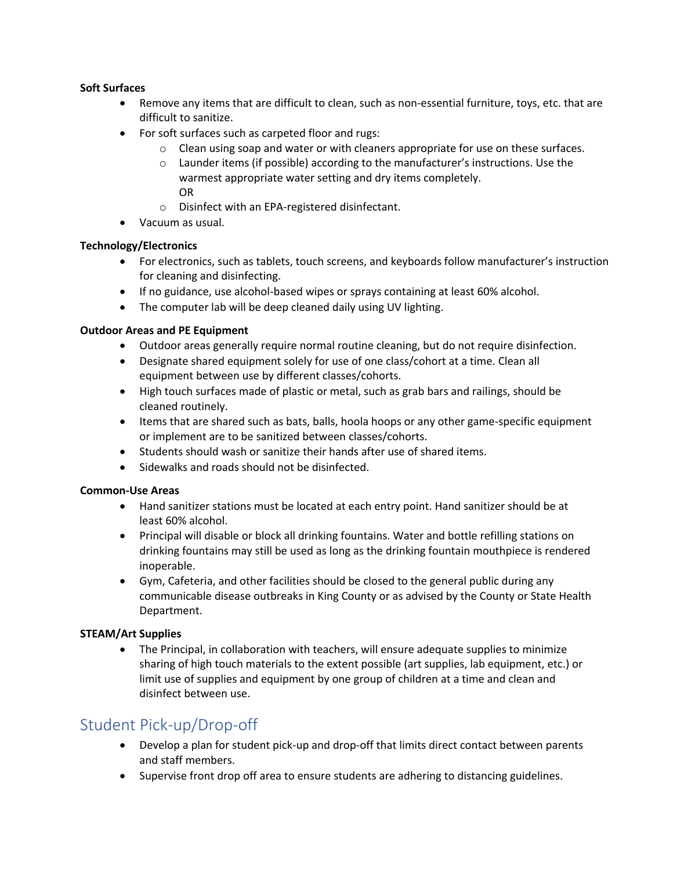#### **Soft Surfaces**

- Remove any items that are difficult to clean, such as non-essential furniture, toys, etc. that are difficult to sanitize.
- For soft surfaces such as carpeted floor and rugs:
	- $\circ$  Clean using soap and water or with cleaners appropriate for use on these surfaces.
	- o Launder items (if possible) according to the manufacturer's instructions. Use the warmest appropriate water setting and dry items completely. OR
	- o Disinfect with an EPA-registered disinfectant.
- Vacuum as usual.

#### **Technology/Electronics**

- For electronics, such as tablets, touch screens, and keyboards follow manufacturer's instruction for cleaning and disinfecting.
- If no guidance, use alcohol-based wipes or sprays containing at least 60% alcohol.
- The computer lab will be deep cleaned daily using UV lighting.

#### **Outdoor Areas and PE Equipment**

- Outdoor areas generally require normal routine cleaning, but do not require disinfection.
- Designate shared equipment solely for use of one class/cohort at a time. Clean all equipment between use by different classes/cohorts.
- High touch surfaces made of plastic or metal, such as grab bars and railings, should be cleaned routinely.
- Items that are shared such as bats, balls, hoola hoops or any other game-specific equipment or implement are to be sanitized between classes/cohorts.
- Students should wash or sanitize their hands after use of shared items.
- Sidewalks and roads should not be disinfected.

#### **Common-Use Areas**

- Hand sanitizer stations must be located at each entry point. Hand sanitizer should be at least 60% alcohol.
- Principal will disable or block all drinking fountains. Water and bottle refilling stations on drinking fountains may still be used as long as the drinking fountain mouthpiece is rendered inoperable.
- Gym, Cafeteria, and other facilities should be closed to the general public during any communicable disease outbreaks in King County or as advised by the County or State Health Department.

#### **STEAM/Art Supplies**

• The Principal, in collaboration with teachers, will ensure adequate supplies to minimize sharing of high touch materials to the extent possible (art supplies, lab equipment, etc.) or limit use of supplies and equipment by one group of children at a time and clean and disinfect between use.

### Student Pick-up/Drop-off

- Develop a plan for student pick-up and drop-off that limits direct contact between parents and staff members.
- Supervise front drop off area to ensure students are adhering to distancing guidelines.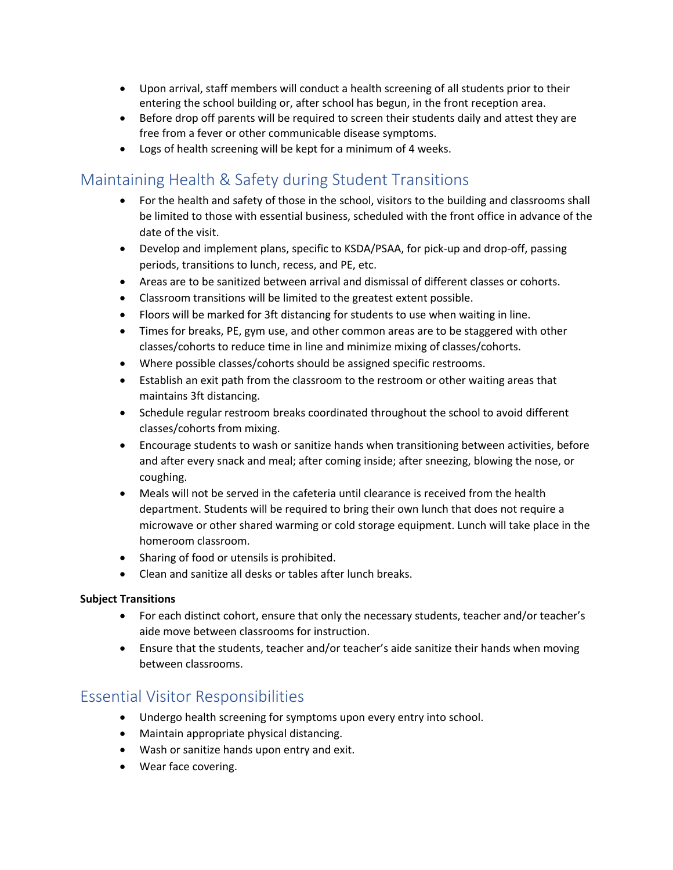- Upon arrival, staff members will conduct a health screening of all students prior to their entering the school building or, after school has begun, in the front reception area.
- Before drop off parents will be required to screen their students daily and attest they are free from a fever or other communicable disease symptoms.
- Logs of health screening will be kept for a minimum of 4 weeks.

### Maintaining Health & Safety during Student Transitions

- For the health and safety of those in the school, visitors to the building and classrooms shall be limited to those with essential business, scheduled with the front office in advance of the date of the visit.
- Develop and implement plans, specific to KSDA/PSAA, for pick-up and drop-off, passing periods, transitions to lunch, recess, and PE, etc.
- Areas are to be sanitized between arrival and dismissal of different classes or cohorts.
- Classroom transitions will be limited to the greatest extent possible.
- Floors will be marked for 3ft distancing for students to use when waiting in line.
- Times for breaks, PE, gym use, and other common areas are to be staggered with other classes/cohorts to reduce time in line and minimize mixing of classes/cohorts.
- Where possible classes/cohorts should be assigned specific restrooms.
- Establish an exit path from the classroom to the restroom or other waiting areas that maintains 3ft distancing.
- Schedule regular restroom breaks coordinated throughout the school to avoid different classes/cohorts from mixing.
- Encourage students to wash or sanitize hands when transitioning between activities, before and after every snack and meal; after coming inside; after sneezing, blowing the nose, or coughing.
- Meals will not be served in the cafeteria until clearance is received from the health department. Students will be required to bring their own lunch that does not require a microwave or other shared warming or cold storage equipment. Lunch will take place in the homeroom classroom.
- Sharing of food or utensils is prohibited.
- Clean and sanitize all desks or tables after lunch breaks.

#### **Subject Transitions**

- For each distinct cohort, ensure that only the necessary students, teacher and/or teacher's aide move between classrooms for instruction.
- Ensure that the students, teacher and/or teacher's aide sanitize their hands when moving between classrooms.

### Essential Visitor Responsibilities

- Undergo health screening for symptoms upon every entry into school.
- Maintain appropriate physical distancing.
- Wash or sanitize hands upon entry and exit.
- Wear face covering.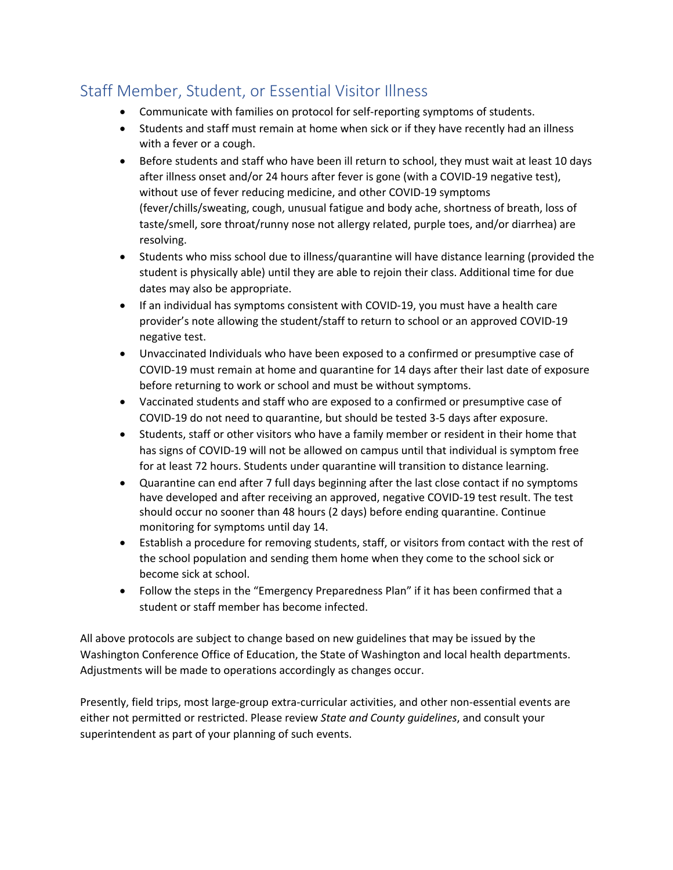### Staff Member, Student, or Essential Visitor Illness

- Communicate with families on protocol for self-reporting symptoms of students.
- Students and staff must remain at home when sick or if they have recently had an illness with a fever or a cough.
- Before students and staff who have been ill return to school, they must wait at least 10 days after illness onset and/or 24 hours after fever is gone (with a COVID-19 negative test), without use of fever reducing medicine, and other COVID-19 symptoms (fever/chills/sweating, cough, unusual fatigue and body ache, shortness of breath, loss of taste/smell, sore throat/runny nose not allergy related, purple toes, and/or diarrhea) are resolving.
- Students who miss school due to illness/quarantine will have distance learning (provided the student is physically able) until they are able to rejoin their class. Additional time for due dates may also be appropriate.
- If an individual has symptoms consistent with COVID-19, you must have a health care provider's note allowing the student/staff to return to school or an approved COVID-19 negative test.
- Unvaccinated Individuals who have been exposed to a confirmed or presumptive case of COVID-19 must remain at home and quarantine for 14 days after their last date of exposure before returning to work or school and must be without symptoms.
- Vaccinated students and staff who are exposed to a confirmed or presumptive case of COVID-19 do not need to quarantine, but should be tested 3-5 days after exposure.
- Students, staff or other visitors who have a family member or resident in their home that has signs of COVID-19 will not be allowed on campus until that individual is symptom free for at least 72 hours. Students under quarantine will transition to distance learning.
- Quarantine can end after 7 full days beginning after the last close contact if no symptoms have developed and after receiving an approved, negative COVID-19 test result. The test should occur no sooner than 48 hours (2 days) before ending quarantine. Continue monitoring for symptoms until day 14.
- Establish a procedure for removing students, staff, or visitors from contact with the rest of the school population and sending them home when they come to the school sick or become sick at school.
- Follow the steps in the "Emergency Preparedness Plan" if it has been confirmed that a student or staff member has become infected.

All above protocols are subject to change based on new guidelines that may be issued by the Washington Conference Office of Education, the State of Washington and local health departments. Adjustments will be made to operations accordingly as changes occur.

Presently, field trips, most large-group extra-curricular activities, and other non-essential events are either not permitted or restricted. Please review *State and County guidelines*, and consult your superintendent as part of your planning of such events.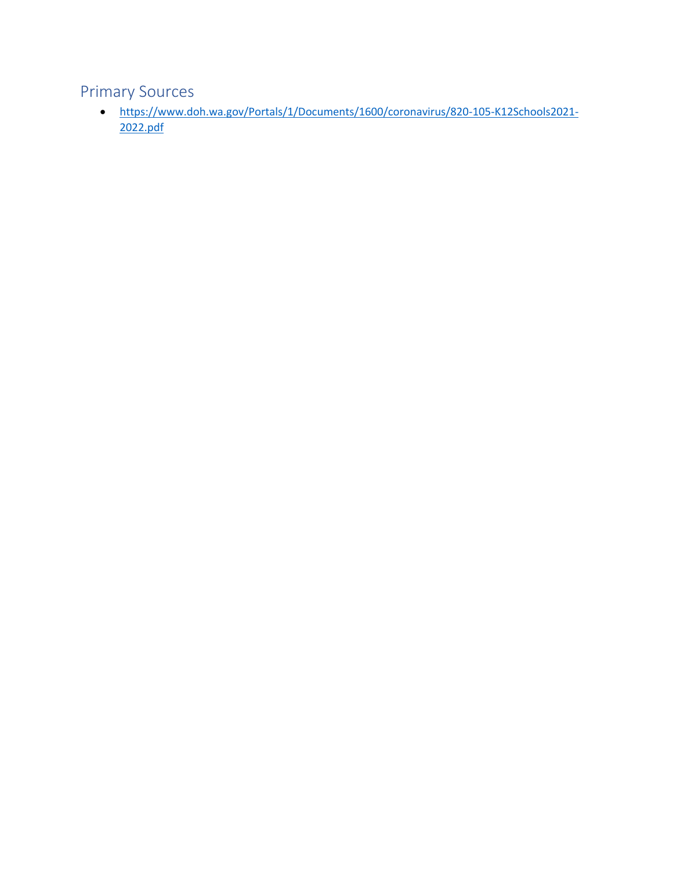### Primary Sources

• https://www.doh.wa.gov/Portals/1/Documents/1600/coronavirus/820-105-K12Schools2021- 2022.pdf